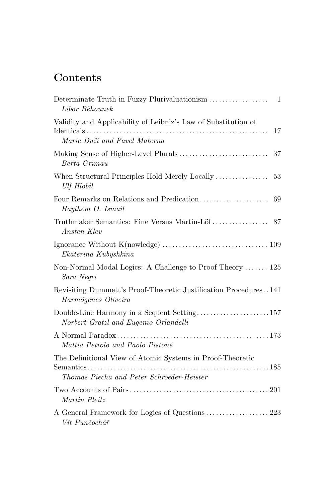## Contents